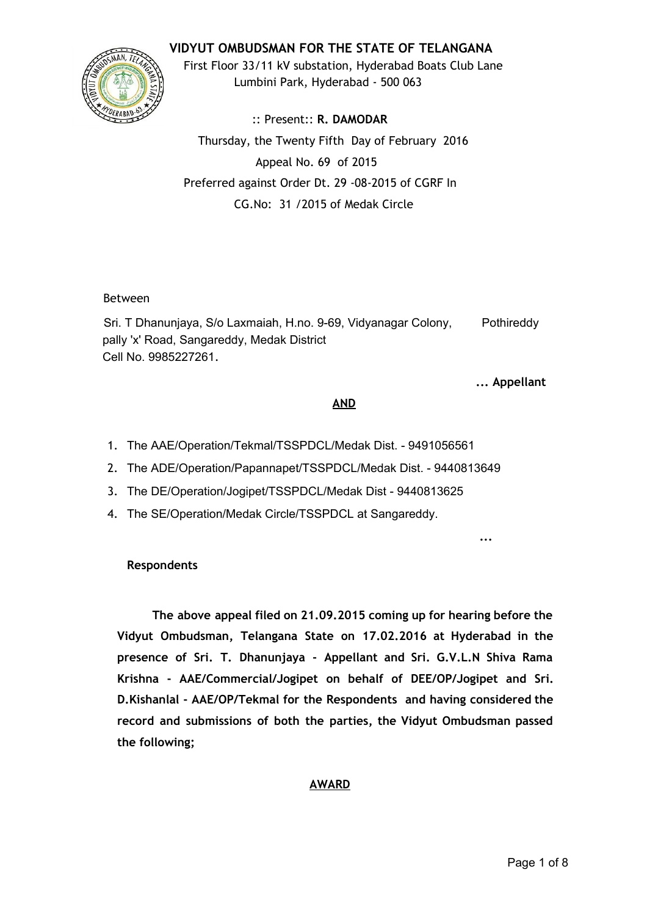# **VIDYUT OMBUDSMAN FOR THE STATE OF TELANGANA**



First Floor 33/11 kV substation, Hyderabad Boats Club Lane Lumbini Park, Hyderabad ‐ 500 063

:: Present:: **R. DAMODAR** Thursday, the Twenty Fifth Day of February 2016 Appeal No. 69 of 2015 Preferred against Order Dt. 29 ‐08‐2015 of CGRF In CG.No: 31 /2015 of Medak Circle

### Between

Sri. T Dhanunjaya, S/o Laxmaiah, H.no. 9-69, Vidyanagar Colony, Pothireddy pally 'x' Road, Sangareddy, Medak District Cell No. 9985227261.

**... Appellant**

**...**

### **AND**

- 1. The AAE/Operation/Tekmal/TSSPDCL/Medak Dist. 9491056561
- 2. The ADE/Operation/Papannapet/TSSPDCL/Medak Dist. 9440813649
- 3. The DE/Operation/Jogipet/TSSPDCL/Medak Dist 9440813625
- 4. The SE/Operation/Medak Circle/TSSPDCL at Sangareddy.

# **Respondents**

**The above appeal filed on 21.09.2015 coming up for hearing before the Vidyut Ombudsman, Telangana State on 17.02.2016 at Hyderabad in the presence of Sri. T. Dhanunjaya ‐ Appellant and Sri. G.V.L.N Shiva Rama Krishna ‐ AAE/Commercial/Jogipet on behalf of DEE/OP/Jogipet and Sri. D.Kishanlal ‐ AAE/OP/Tekmal for the Respondents and having considered the record and submissions of both the parties, the Vidyut Ombudsman passed the following;**

# **AWARD**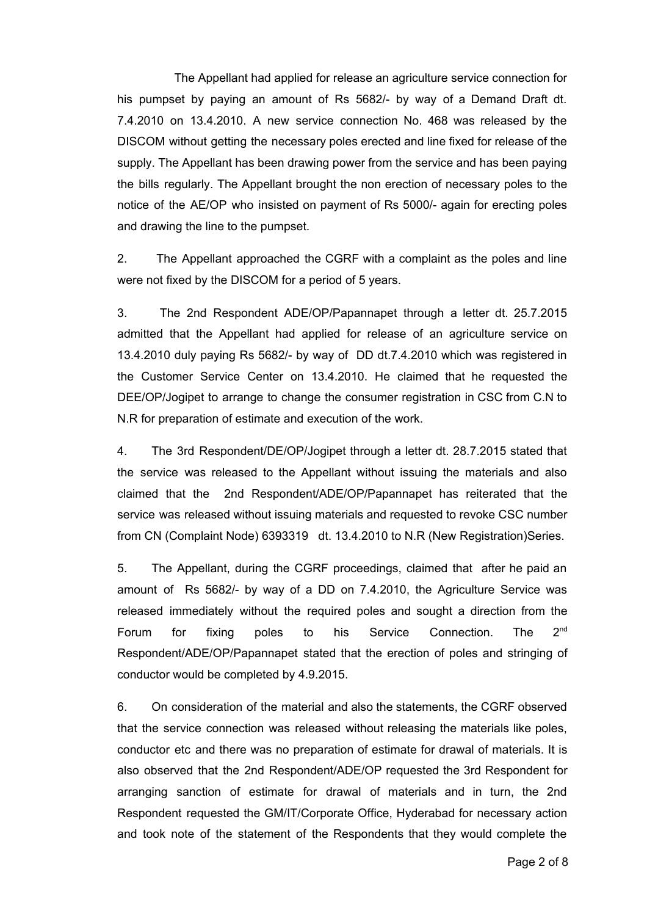The Appellant had applied for release an agriculture service connection for his pumpset by paying an amount of Rs 5682/ by way of a Demand Draft dt. 7.4.2010 on 13.4.2010. A new service connection No. 468 was released by the DISCOM without getting the necessary poles erected and line fixed for release of the supply. The Appellant has been drawing power from the service and has been paying the bills regularly. The Appellant brought the non erection of necessary poles to the notice of the AE/OP who insisted on payment of Rs 5000/- again for erecting poles and drawing the line to the pumpset.

2. The Appellant approached the CGRF with a complaint as the poles and line were not fixed by the DISCOM for a period of 5 years.

3. The 2nd Respondent ADE/OP/Papannapet through a letter dt. 25.7.2015 admitted that the Appellant had applied for release of an agriculture service on 13.4.2010 duly paying Rs 5682/ by way of DD dt.7.4.2010 which was registered in the Customer Service Center on 13.4.2010. He claimed that he requested the DEE/OP/Jogipet to arrange to change the consumer registration in CSC from C.N to N.R for preparation of estimate and execution of the work.

4. The 3rd Respondent/DE/OP/Jogipet through a letter dt. 28.7.2015 stated that the service was released to the Appellant without issuing the materials and also claimed that the 2nd Respondent/ADE/OP/Papannapet has reiterated that the service was released without issuing materials and requested to revoke CSC number from CN (Complaint Node) 6393319 dt. 13.4.2010 to N.R (New Registration)Series.

5. The Appellant, during the CGRF proceedings, claimed that after he paid an amount of Rs 5682/ by way of a DD on 7.4.2010, the Agriculture Service was released immediately without the required poles and sought a direction from the Forum for fixing poles to his Service Connection. The  $2<sup>nd</sup>$ Respondent/ADE/OP/Papannapet stated that the erection of poles and stringing of conductor would be completed by 4.9.2015.

6. On consideration of the material and also the statements, the CGRF observed that the service connection was released without releasing the materials like poles, conductor etc and there was no preparation of estimate for drawal of materials. It is also observed that the 2nd Respondent/ADE/OP requested the 3rd Respondent for arranging sanction of estimate for drawal of materials and in turn, the 2nd Respondent requested the GM/IT/Corporate Office, Hyderabad for necessary action and took note of the statement of the Respondents that they would complete the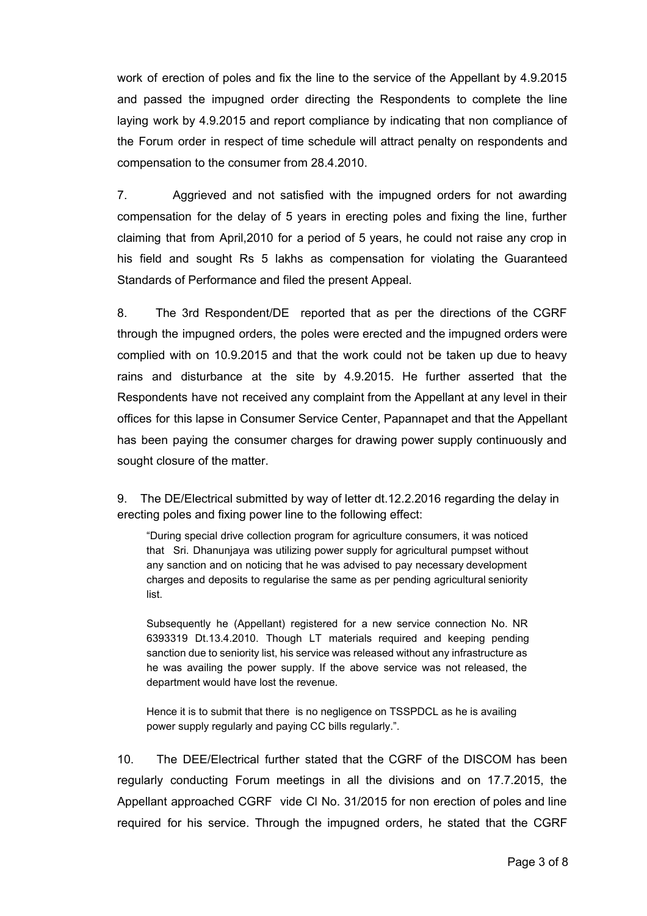work of erection of poles and fix the line to the service of the Appellant by 4.9.2015 and passed the impugned order directing the Respondents to complete the line laying work by 4.9.2015 and report compliance by indicating that non compliance of the Forum order in respect of time schedule will attract penalty on respondents and compensation to the consumer from 28.4.2010.

7. Aggrieved and not satisfied with the impugned orders for not awarding compensation for the delay of 5 years in erecting poles and fixing the line, further claiming that from April,2010 for a period of 5 years, he could not raise any crop in his field and sought Rs 5 lakhs as compensation for violating the Guaranteed Standards of Performance and filed the present Appeal.

8. The 3rd Respondent/DE reported that as per the directions of the CGRF through the impugned orders, the poles were erected and the impugned orders were complied with on 10.9.2015 and that the work could not be taken up due to heavy rains and disturbance at the site by 4.9.2015. He further asserted that the Respondents have not received any complaint from the Appellant at any level in their offices for this lapse in Consumer Service Center, Papannapet and that the Appellant has been paying the consumer charges for drawing power supply continuously and sought closure of the matter.

9. The DE/Electrical submitted by way of letter dt.12.2.2016 regarding the delay in erecting poles and fixing power line to the following effect:

"During special drive collection program for agriculture consumers, it was noticed that Sri. Dhanunjaya was utilizing power supply for agricultural pumpset without any sanction and on noticing that he was advised to pay necessary development charges and deposits to regularise the same as per pending agricultural seniority list.

Subsequently he (Appellant) registered for a new service connection No. NR 6393319 Dt.13.4.2010. Though LT materials required and keeping pending sanction due to seniority list, his service was released without any infrastructure as he was availing the power supply. If the above service was not released, the department would have lost the revenue.

Hence it is to submit that there is no negligence on TSSPDCL as he is availing power supply regularly and paying CC bills regularly.".

10. The DEE/Electrical further stated that the CGRF of the DISCOM has been regularly conducting Forum meetings in all the divisions and on 17.7.2015, the Appellant approached CGRF vide Cl No. 31/2015 for non erection of poles and line required for his service. Through the impugned orders, he stated that the CGRF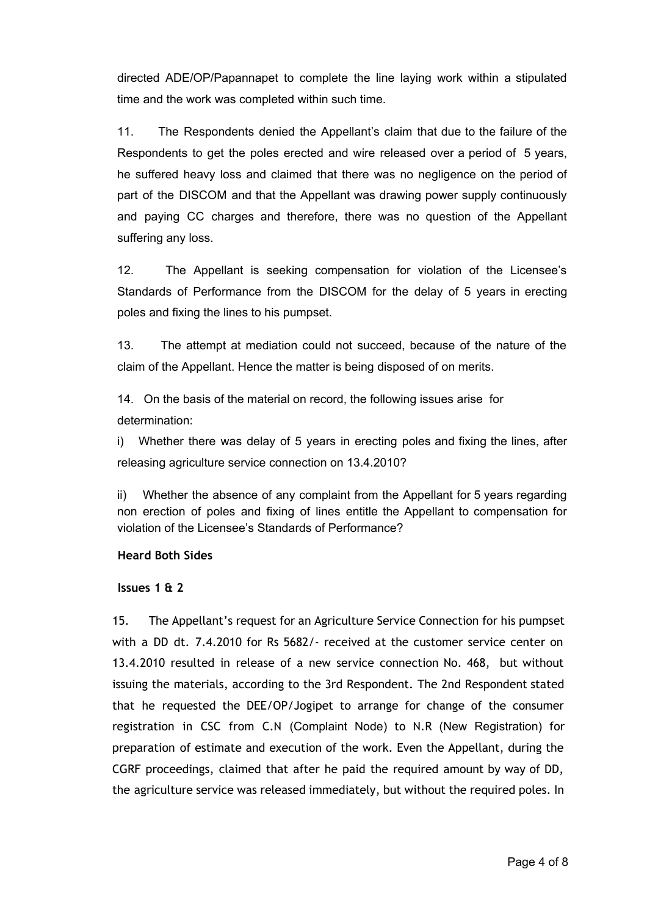directed ADE/OP/Papannapet to complete the line laying work within a stipulated time and the work was completed within such time.

11. The Respondents denied the Appellant's claim that due to the failure of the Respondents to get the poles erected and wire released over a period of 5 years, he suffered heavy loss and claimed that there was no negligence on the period of part of the DISCOM and that the Appellant was drawing power supply continuously and paying CC charges and therefore, there was no question of the Appellant suffering any loss.

12. The Appellant is seeking compensation for violation of the Licensee's Standards of Performance from the DISCOM for the delay of 5 years in erecting poles and fixing the lines to his pumpset.

13. The attempt at mediation could not succeed, because of the nature of the claim of the Appellant. Hence the matter is being disposed of on merits.

14. On the basis of the material on record, the following issues arise for determination:

i) Whether there was delay of 5 years in erecting poles and fixing the lines, after releasing agriculture service connection on 13.4.2010?

ii) Whether the absence of any complaint from the Appellant for 5 years regarding non erection of poles and fixing of lines entitle the Appellant to compensation for violation of the Licensee's Standards of Performance?

### **Heard Both Sides**

### **Issues 1 & 2**

15. The Appellant's request for an Agriculture Service Connection for his pumpset with a DD dt. 7.4.2010 for Rs 5682/‐ received at the customer service center on 13.4.2010 resulted in release of a new service connection No. 468, but without issuing the materials, according to the 3rd Respondent. The 2nd Respondent stated that he requested the DEE/OP/Jogipet to arrange for change of the consumer registration in CSC from C.N (Complaint Node) to N.R (New Registration) for preparation of estimate and execution of the work. Even the Appellant, during the CGRF proceedings, claimed that after he paid the required amount by way of DD, the agriculture service was released immediately, but without the required poles. In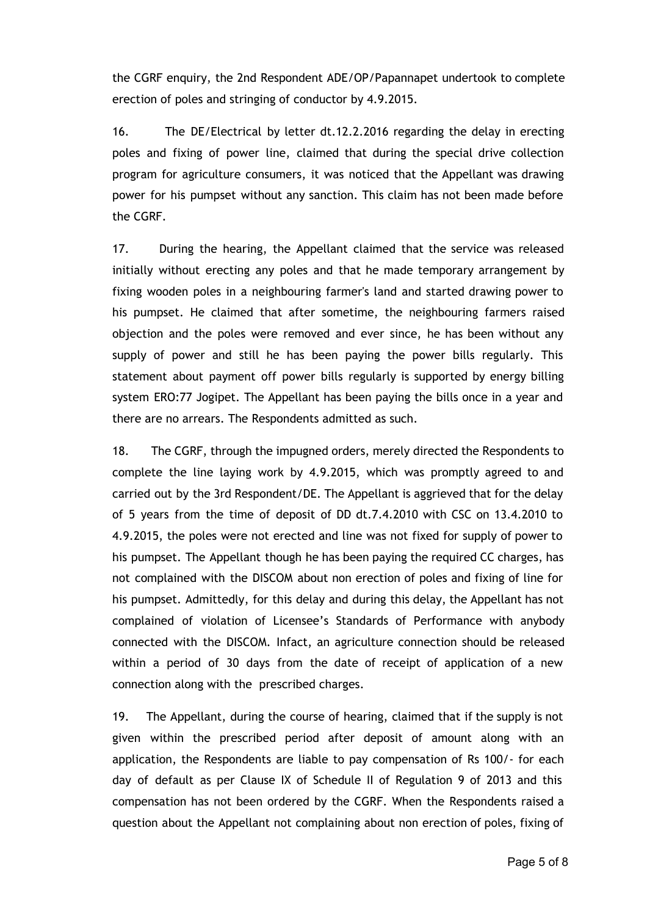the CGRF enquiry, the 2nd Respondent ADE/OP/Papannapet undertook to complete erection of poles and stringing of conductor by 4.9.2015.

16. The DE/Electrical by letter dt.12.2.2016 regarding the delay in erecting poles and fixing of power line, claimed that during the special drive collection program for agriculture consumers, it was noticed that the Appellant was drawing power for his pumpset without any sanction. This claim has not been made before the CGRF.

17. During the hearing, the Appellant claimed that the service was released initially without erecting any poles and that he made temporary arrangement by fixing wooden poles in a neighbouring farmer's land and started drawing power to his pumpset. He claimed that after sometime, the neighbouring farmers raised objection and the poles were removed and ever since, he has been without any supply of power and still he has been paying the power bills regularly. This statement about payment off power bills regularly is supported by energy billing system ERO:77 Jogipet. The Appellant has been paying the bills once in a year and there are no arrears. The Respondents admitted as such.

18. The CGRF, through the impugned orders, merely directed the Respondents to complete the line laying work by 4.9.2015, which was promptly agreed to and carried out by the 3rd Respondent/DE. The Appellant is aggrieved that for the delay of 5 years from the time of deposit of DD dt.7.4.2010 with CSC on 13.4.2010 to 4.9.2015, the poles were not erected and line was not fixed for supply of power to his pumpset. The Appellant though he has been paying the required CC charges, has not complained with the DISCOM about non erection of poles and fixing of line for his pumpset. Admittedly, for this delay and during this delay, the Appellant has not complained of violation of Licensee's Standards of Performance with anybody connected with the DISCOM. Infact, an agriculture connection should be released within a period of 30 days from the date of receipt of application of a new connection along with the prescribed charges.

19. The Appellant, during the course of hearing, claimed that if the supply is not given within the prescribed period after deposit of amount along with an application, the Respondents are liable to pay compensation of Rs 100/‐ for each day of default as per Clause IX of Schedule II of Regulation 9 of 2013 and this compensation has not been ordered by the CGRF. When the Respondents raised a question about the Appellant not complaining about non erection of poles, fixing of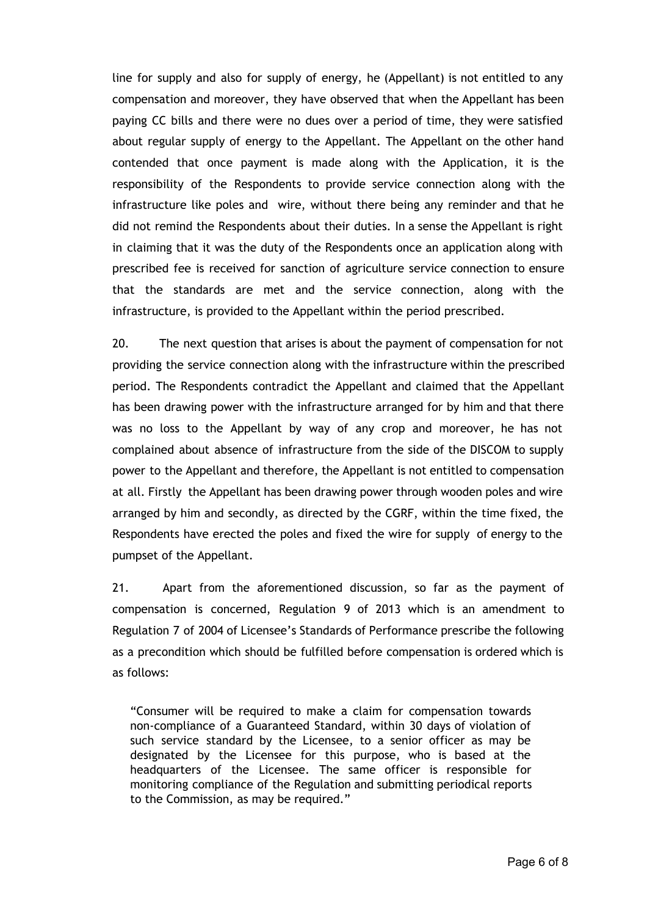line for supply and also for supply of energy, he (Appellant) is not entitled to any compensation and moreover, they have observed that when the Appellant has been paying CC bills and there were no dues over a period of time, they were satisfied about regular supply of energy to the Appellant. The Appellant on the other hand contended that once payment is made along with the Application, it is the responsibility of the Respondents to provide service connection along with the infrastructure like poles and wire, without there being any reminder and that he did not remind the Respondents about their duties. In a sense the Appellant is right in claiming that it was the duty of the Respondents once an application along with prescribed fee is received for sanction of agriculture service connection to ensure that the standards are met and the service connection, along with the infrastructure, is provided to the Appellant within the period prescribed.

20. The next question that arises is about the payment of compensation for not providing the service connection along with the infrastructure within the prescribed period. The Respondents contradict the Appellant and claimed that the Appellant has been drawing power with the infrastructure arranged for by him and that there was no loss to the Appellant by way of any crop and moreover, he has not complained about absence of infrastructure from the side of the DISCOM to supply power to the Appellant and therefore, the Appellant is not entitled to compensation at all. Firstly the Appellant has been drawing power through wooden poles and wire arranged by him and secondly, as directed by the CGRF, within the time fixed, the Respondents have erected the poles and fixed the wire for supply of energy to the pumpset of the Appellant.

21. Apart from the aforementioned discussion, so far as the payment of compensation is concerned, Regulation 9 of 2013 which is an amendment to Regulation 7 of 2004 of Licensee's Standards of Performance prescribe the following as a precondition which should be fulfilled before compensation is ordered which is as follows:

"Consumer will be required to make a claim for compensation towards non‐compliance of a Guaranteed Standard, within 30 days of violation of such service standard by the Licensee, to a senior officer as may be designated by the Licensee for this purpose, who is based at the headquarters of the Licensee. The same officer is responsible for monitoring compliance of the Regulation and submitting periodical reports to the Commission, as may be required."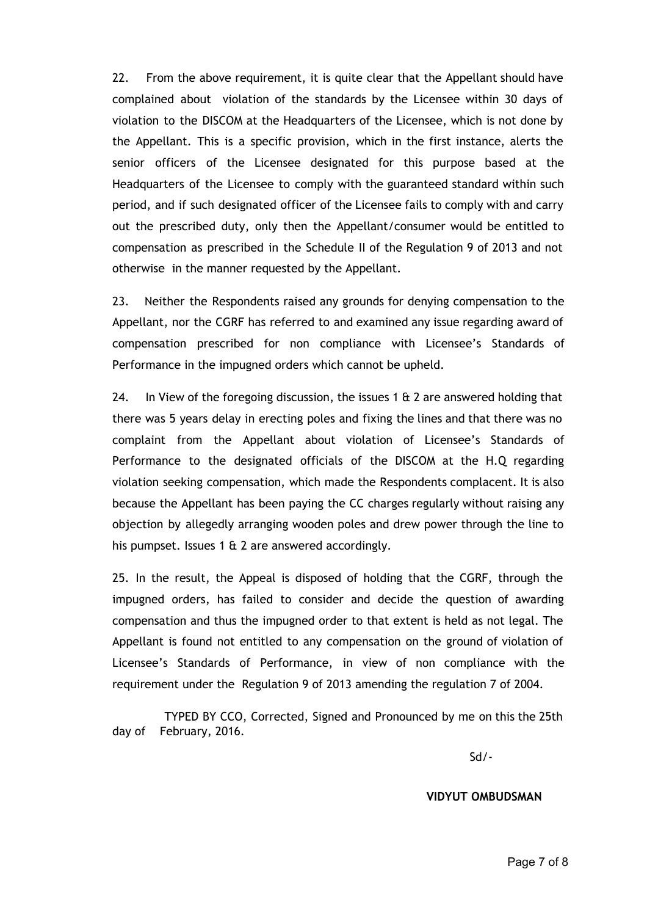22. From the above requirement, it is quite clear that the Appellant should have complained about violation of the standards by the Licensee within 30 days of violation to the DISCOM at the Headquarters of the Licensee, which is not done by the Appellant. This is a specific provision, which in the first instance, alerts the senior officers of the Licensee designated for this purpose based at the Headquarters of the Licensee to comply with the guaranteed standard within such period, and if such designated officer of the Licensee fails to comply with and carry out the prescribed duty, only then the Appellant/consumer would be entitled to compensation as prescribed in the Schedule II of the Regulation 9 of 2013 and not otherwise in the manner requested by the Appellant.

23. Neither the Respondents raised any grounds for denying compensation to the Appellant, nor the CGRF has referred to and examined any issue regarding award of compensation prescribed for non compliance with Licensee's Standards of Performance in the impugned orders which cannot be upheld.

24. In View of the foregoing discussion, the issues 1  $\&$  2 are answered holding that there was 5 years delay in erecting poles and fixing the lines and that there was no complaint from the Appellant about violation of Licensee's Standards of Performance to the designated officials of the DISCOM at the H.Q regarding violation seeking compensation, which made the Respondents complacent. It is also because the Appellant has been paying the CC charges regularly without raising any objection by allegedly arranging wooden poles and drew power through the line to his pumpset. Issues 1  $\&$  2 are answered accordingly.

25. In the result, the Appeal is disposed of holding that the CGRF, through the impugned orders, has failed to consider and decide the question of awarding compensation and thus the impugned order to that extent is held as not legal. The Appellant is found not entitled to any compensation on the ground of violation of Licensee's Standards of Performance, in view of non compliance with the requirement under the Regulation 9 of 2013 amending the regulation 7 of 2004.

TYPED BY CCO, Corrected, Signed and Pronounced by me on this the 25th day of February, 2016.

Sd/‐

**VIDYUT OMBUDSMAN**